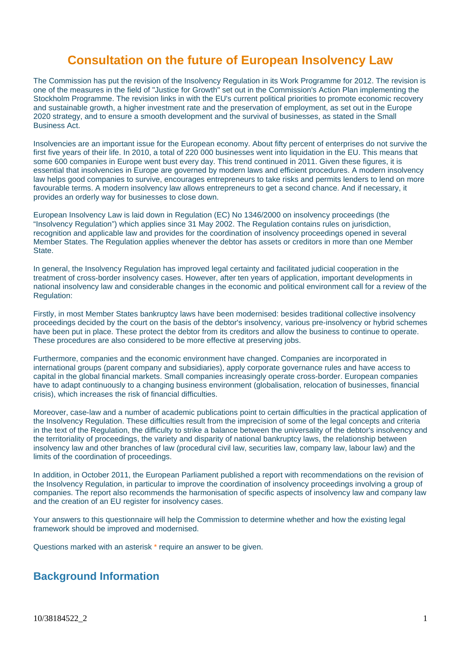# **Consultation on the future of European Insolvency Law**

The Commission has put the revision of the Insolvency Regulation in its Work Programme for 2012. The revision is one of the measures in the field of "Justice for Growth" set out in the Commission's Action Plan implementing the Stockholm Programme. The revision links in with the EU's current political priorities to promote economic recovery and sustainable growth, a higher investment rate and the preservation of employment, as set out in the Europe 2020 strategy, and to ensure a smooth development and the survival of businesses, as stated in the Small Business Act.

Insolvencies are an important issue for the European economy. About fifty percent of enterprises do not survive the first five years of their life. In 2010, a total of 220 000 businesses went into liquidation in the EU. This means that some 600 companies in Europe went bust every day. This trend continued in 2011. Given these figures, it is essential that insolvencies in Europe are governed by modern laws and efficient procedures. A modern insolvency law helps good companies to survive, encourages entrepreneurs to take risks and permits lenders to lend on more favourable terms. A modern insolvency law allows entrepreneurs to get a second chance. And if necessary, it provides an orderly way for businesses to close down.

European Insolvency Law is laid down in Regulation (EC) No 1346/2000 on insolvency proceedings (the "Insolvency Regulation") which applies since 31 May 2002. The Regulation contains rules on jurisdiction, recognition and applicable law and provides for the coordination of insolvency proceedings opened in several Member States. The Regulation applies whenever the debtor has assets or creditors in more than one Member State.

In general, the Insolvency Regulation has improved legal certainty and facilitated judicial cooperation in the treatment of cross-border insolvency cases. However, after ten years of application, important developments in national insolvency law and considerable changes in the economic and political environment call for a review of the Regulation:

Firstly, in most Member States bankruptcy laws have been modernised: besides traditional collective insolvency proceedings decided by the court on the basis of the debtor's insolvency, various pre-insolvency or hybrid schemes have been put in place. These protect the debtor from its creditors and allow the business to continue to operate. These procedures are also considered to be more effective at preserving jobs.

Furthermore, companies and the economic environment have changed. Companies are incorporated in international groups (parent company and subsidiaries), apply corporate governance rules and have access to capital in the global financial markets. Small companies increasingly operate cross-border. European companies have to adapt continuously to a changing business environment (globalisation, relocation of businesses, financial crisis), which increases the risk of financial difficulties.

Moreover, case-law and a number of academic publications point to certain difficulties in the practical application of the Insolvency Regulation. These difficulties result from the imprecision of some of the legal concepts and criteria in the text of the Regulation, the difficulty to strike a balance between the universality of the debtor's insolvency and the territoriality of proceedings, the variety and disparity of national bankruptcy laws, the relationship between insolvency law and other branches of law (procedural civil law, securities law, company law, labour law) and the limits of the coordination of proceedings.

In addition, in October 2011, the European Parliament published a report with recommendations on the revision of the Insolvency Regulation, in particular to improve the coordination of insolvency proceedings involving a group of companies. The report also recommends the harmonisation of specific aspects of insolvency law and company law and the creation of an EU register for insolvency cases.

Your answers to this questionnaire will help the Commission to determine whether and how the existing legal framework should be improved and modernised.

Questions marked with an asterisk \* require an answer to be given.

## **Background Information**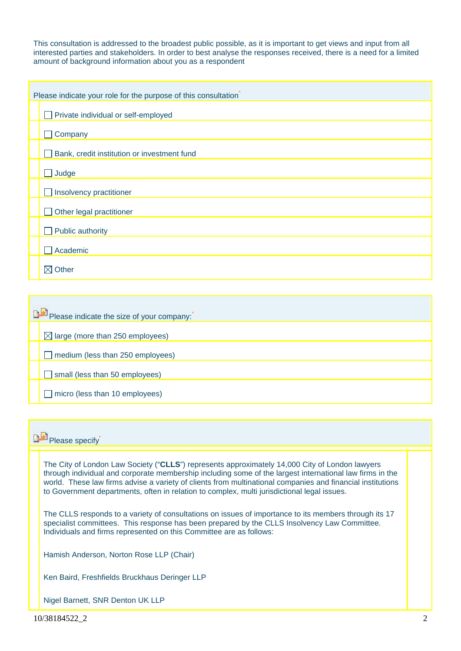This consultation is addressed to the broadest public possible, as it is important to get views and input from all interested parties and stakeholders. In order to best analyse the responses received, there is a need for a limited amount of background information about you as a respondent

| Please indicate your role for the purpose of this consultation |  |  |
|----------------------------------------------------------------|--|--|
| Private individual or self-employed                            |  |  |
| Company                                                        |  |  |
| Bank, credit institution or investment fund                    |  |  |
| Judge                                                          |  |  |
| Insolvency practitioner                                        |  |  |
| Other legal practitioner                                       |  |  |
| Public authority                                               |  |  |
| Academic                                                       |  |  |
| $\boxtimes$ Other                                              |  |  |

| Please indicate the size of your company:   |  |  |
|---------------------------------------------|--|--|
| $\boxtimes$ large (more than 250 employees) |  |  |
| medium (less than 250 employees)            |  |  |
| small (less than 50 employees)<br>l H       |  |  |
| micro (less than 10 employees)              |  |  |

## **Please specify**

The City of London Law Society ("**CLLS**") represents approximately 14,000 City of London lawyers through individual and corporate membership including some of the largest international law firms in the world. These law firms advise a variety of clients from multinational companies and financial institutions to Government departments, often in relation to complex, multi jurisdictional legal issues.

The CLLS responds to a variety of consultations on issues of importance to its members through its 17 specialist committees. This response has been prepared by the CLLS Insolvency Law Committee. Individuals and firms represented on this Committee are as follows:

Hamish Anderson, Norton Rose LLP (Chair)

Ken Baird, Freshfields Bruckhaus Deringer LLP

Nigel Barnett, SNR Denton UK LLP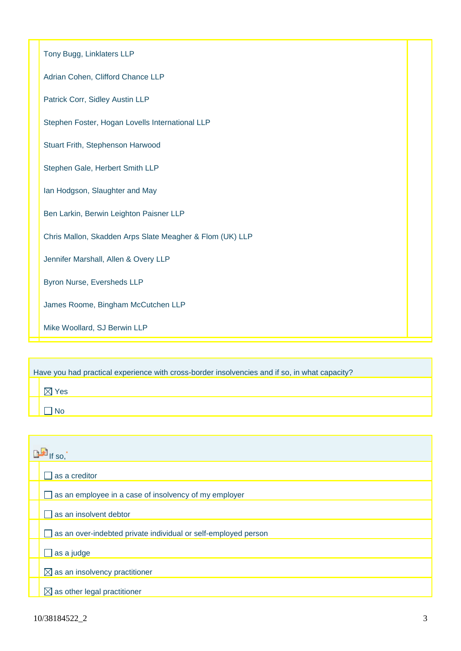| Tony Bugg, Linklaters LLP                                |  |
|----------------------------------------------------------|--|
| Adrian Cohen, Clifford Chance LLP                        |  |
| Patrick Corr, Sidley Austin LLP                          |  |
| Stephen Foster, Hogan Lovells International LLP          |  |
| Stuart Frith, Stephenson Harwood                         |  |
| Stephen Gale, Herbert Smith LLP                          |  |
| Ian Hodgson, Slaughter and May                           |  |
| Ben Larkin, Berwin Leighton Paisner LLP                  |  |
| Chris Mallon, Skadden Arps Slate Meagher & Flom (UK) LLP |  |
| Jennifer Marshall, Allen & Overy LLP                     |  |
| Byron Nurse, Eversheds LLP                               |  |
| James Roome, Bingham McCutchen LLP                       |  |
| Mike Woollard, SJ Berwin LLP                             |  |

| Have you had practical experience with cross-border insolvencies and if so, in what capacity? |  |  |  |
|-----------------------------------------------------------------------------------------------|--|--|--|
| Yes                                                                                           |  |  |  |
|                                                                                               |  |  |  |

| $\mathbb{R}$ If so, |                                                                |  |
|---------------------|----------------------------------------------------------------|--|
|                     | as a creditor                                                  |  |
|                     | as an employee in a case of insolvency of my employer          |  |
|                     | as an insolvent debtor                                         |  |
|                     | as an over-indebted private individual or self-employed person |  |
|                     | as a judge                                                     |  |
|                     | $\boxtimes$ as an insolvency practitioner                      |  |
|                     | $\boxtimes$ as other legal practitioner                        |  |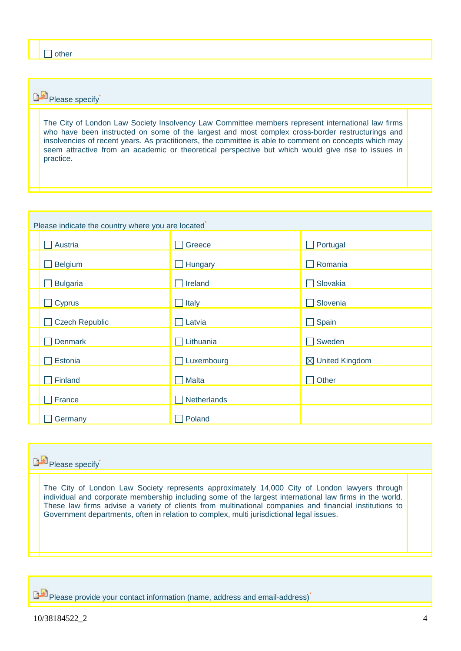# **Please specify**

The City of London Law Society Insolvency Law Committee members represent international law firms who have been instructed on some of the largest and most complex cross-border restructurings and insolvencies of recent years. As practitioners, the committee is able to comment on concepts which may seem attractive from an academic or theoretical perspective but which would give rise to issues in practice.

| Please indicate the country where you are located |              |                            |  |
|---------------------------------------------------|--------------|----------------------------|--|
| Austria                                           | Greece       | Portugal                   |  |
| Belgium                                           | Hungary      | Romania                    |  |
| <b>Bulgaria</b>                                   | Ireland      | Slovakia                   |  |
| $\Box$ Cyprus                                     | Italy        | Slovenia                   |  |
| <b>Czech Republic</b>                             | Latvia       | Spain                      |  |
| <b>Denmark</b>                                    | Lithuania    | Sweden                     |  |
| Estonia                                           | Luxembourg   | $\boxtimes$ United Kingdom |  |
| Finland                                           | <b>Malta</b> | Other                      |  |
| France                                            | Netherlands  |                            |  |
| Germany                                           | Poland       |                            |  |



**PH** Please provide your contact information (name, address and email-address)<sup>\*</sup>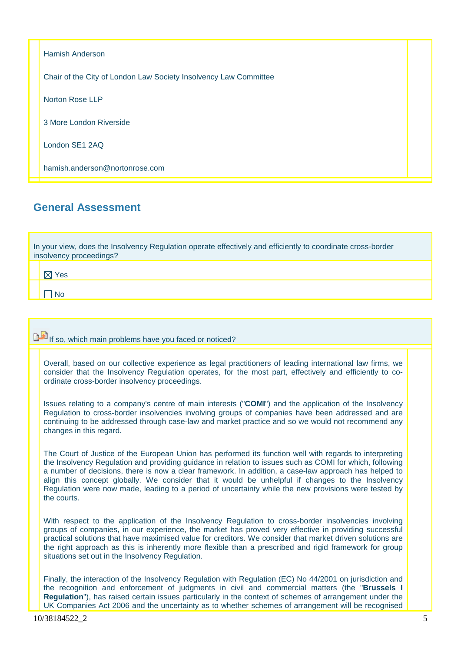Hamish Anderson Chair of the City of London Law Society Insolvency Law Committee Norton Rose LLP 3 More London Riverside London SE1 2AQ hamish.anderson@nortonrose.com

# **General Assessment**

In your view, does the Insolvency Regulation operate effectively and efficiently to coordinate cross-border insolvency proceedings?

 $\boxtimes$  Yes

 $\n <sup>n</sup>$ 

**If** if so, which main problems have you faced or noticed?

Overall, based on our collective experience as legal practitioners of leading international law firms, we consider that the Insolvency Regulation operates, for the most part, effectively and efficiently to coordinate cross-border insolvency proceedings.

Issues relating to a company's centre of main interests ("**COMI**") and the application of the Insolvency Regulation to cross-border insolvencies involving groups of companies have been addressed and are continuing to be addressed through case-law and market practice and so we would not recommend any changes in this regard.

The Court of Justice of the European Union has performed its function well with regards to interpreting the Insolvency Regulation and providing guidance in relation to issues such as COMI for which, following a number of decisions, there is now a clear framework. In addition, a case-law approach has helped to align this concept globally. We consider that it would be unhelpful if changes to the Insolvency Regulation were now made, leading to a period of uncertainty while the new provisions were tested by the courts.

With respect to the application of the Insolvency Regulation to cross-border insolvencies involving groups of companies, in our experience, the market has proved very effective in providing successful practical solutions that have maximised value for creditors. We consider that market driven solutions are the right approach as this is inherently more flexible than a prescribed and rigid framework for group situations set out in the Insolvency Regulation.

Finally, the interaction of the Insolvency Regulation with Regulation (EC) No 44/2001 on jurisdiction and the recognition and enforcement of judgments in civil and commercial matters (the "**Brussels I Regulation**"), has raised certain issues particularly in the context of schemes of arrangement under the UK Companies Act 2006 and the uncertainty as to whether schemes of arrangement will be recognised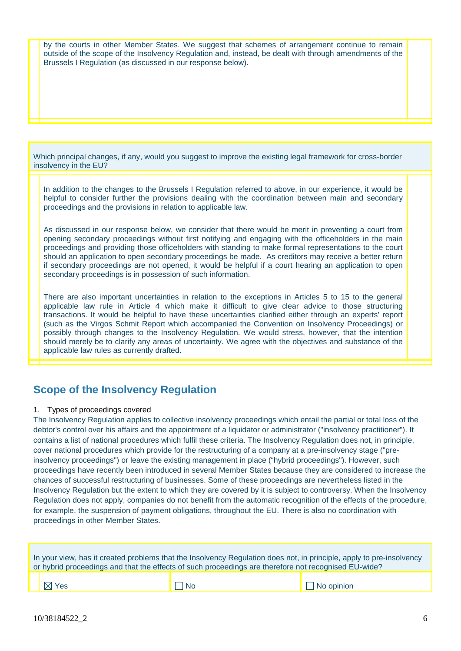by the courts in other Member States. We suggest that schemes of arrangement continue to remain outside of the scope of the Insolvency Regulation and, instead, be dealt with through amendments of the Brussels I Regulation (as discussed in our response below).

Which principal changes, if any, would you suggest to improve the existing legal framework for cross-border insolvency in the EU?

In addition to the changes to the Brussels I Regulation referred to above, in our experience, it would be helpful to consider further the provisions dealing with the coordination between main and secondary proceedings and the provisions in relation to applicable law.

As discussed in our response below, we consider that there would be merit in preventing a court from opening secondary proceedings without first notifying and engaging with the officeholders in the main proceedings and providing those officeholders with standing to make formal representations to the court should an application to open secondary proceedings be made. As creditors may receive a better return if secondary proceedings are not opened, it would be helpful if a court hearing an application to open secondary proceedings is in possession of such information.

There are also important uncertainties in relation to the exceptions in Articles 5 to 15 to the general applicable law rule in Article 4 which make it difficult to give clear advice to those structuring transactions. It would be helpful to have these uncertainties clarified either through an experts' report (such as the Virgos Schmit Report which accompanied the Convention on Insolvency Proceedings) or possibly through changes to the Insolvency Regulation. We would stress, however, that the intention should merely be to clarify any areas of uncertainty. We agree with the objectives and substance of the applicable law rules as currently drafted.

## **Scope of the Insolvency Regulation**

### 1. Types of proceedings covered

The Insolvency Regulation applies to collective insolvency proceedings which entail the partial or total loss of the debtor's control over his affairs and the appointment of a liquidator or administrator ("insolvency practitioner"). It contains a list of national procedures which fulfil these criteria. The Insolvency Regulation does not, in principle, cover national procedures which provide for the restructuring of a company at a pre-insolvency stage ("preinsolvency proceedings") or leave the existing management in place ("hybrid proceedings"). However, such proceedings have recently been introduced in several Member States because they are considered to increase the chances of successful restructuring of businesses. Some of these proceedings are nevertheless listed in the Insolvency Regulation but the extent to which they are covered by it is subject to controversy. When the Insolvency Regulation does not apply, companies do not benefit from the automatic recognition of the effects of the procedure, for example, the suspension of payment obligations, throughout the EU. There is also no coordination with proceedings in other Member States.

| In your view, has it created problems that the Insolvency Regulation does not, in principle, apply to pre-insolvency<br>or hybrid proceedings and that the effects of such proceedings are therefore not recognised EU-wide? |      |                   |
|------------------------------------------------------------------------------------------------------------------------------------------------------------------------------------------------------------------------------|------|-------------------|
| $\boxtimes$ Yes                                                                                                                                                                                                              | l No | $\Box$ No opinion |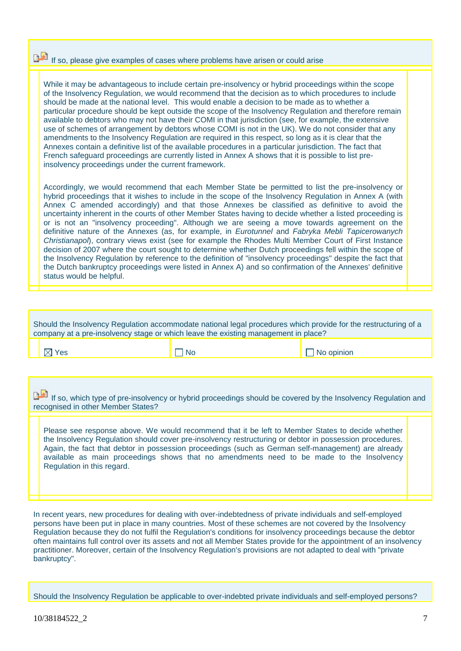# If so, please give examples of cases where problems have arisen or could arise

While it may be advantageous to include certain pre-insolvency or hybrid proceedings within the scope of the Insolvency Regulation, we would recommend that the decision as to which procedures to include should be made at the national level. This would enable a decision to be made as to whether a particular procedure should be kept outside the scope of the Insolvency Regulation and therefore remain available to debtors who may not have their COMI in that jurisdiction (see, for example, the extensive use of schemes of arrangement by debtors whose COMI is not in the UK). We do not consider that any amendments to the Insolvency Regulation are required in this respect, so long as it is clear that the Annexes contain a definitive list of the available procedures in a particular jurisdiction. The fact that French safeguard proceedings are currently listed in Annex A shows that it is possible to list preinsolvency proceedings under the current framework.

Accordingly, we would recommend that each Member State be permitted to list the pre-insolvency or hybrid proceedings that it wishes to include in the scope of the Insolvency Regulation in Annex A (with Annex C amended accordingly) and that those Annexes be classified as definitive to avoid the uncertainty inherent in the courts of other Member States having to decide whether a listed proceeding is or is not an "insolvency proceeding". Although we are seeing a move towards agreement on the definitive nature of the Annexes (as, for example, in *Eurotunnel* and *Fabryka Mebli Tapicerowanych Christianapol*), contrary views exist (see for example the Rhodes Multi Member Court of First Instance decision of 2007 where the court sought to determine whether Dutch proceedings fell within the scope of the Insolvency Regulation by reference to the definition of "insolvency proceedings" despite the fact that the Dutch bankruptcy proceedings were listed in Annex A) and so confirmation of the Annexes' definitive status would be helpful.

| Should the Insolvency Regulation accommodate national legal procedures which provide for the restructuring of a |  |  |  |
|-----------------------------------------------------------------------------------------------------------------|--|--|--|
| company at a pre-insolvency stage or which leave the existing management in place?                              |  |  |  |
|                                                                                                                 |  |  |  |

 $\boxtimes$  Yes  $\Box$  No  $\Box$  No  $\Box$  No opinion

If so, which type of pre-insolvency or hybrid proceedings should be covered by the Insolvency Regulation and recognised in other Member States?

Please see response above. We would recommend that it be left to Member States to decide whether the Insolvency Regulation should cover pre-insolvency restructuring or debtor in possession procedures. Again, the fact that debtor in possession proceedings (such as German self-management) are already available as main proceedings shows that no amendments need to be made to the Insolvency Regulation in this regard.

In recent years, new procedures for dealing with over-indebtedness of private individuals and self-employed persons have been put in place in many countries. Most of these schemes are not covered by the Insolvency Regulation because they do not fulfil the Regulation's conditions for insolvency proceedings because the debtor often maintains full control over its assets and not all Member States provide for the appointment of an insolvency practitioner. Moreover, certain of the Insolvency Regulation's provisions are not adapted to deal with "private bankruptcy".

Should the Insolvency Regulation be applicable to over-indebted private individuals and self-employed persons?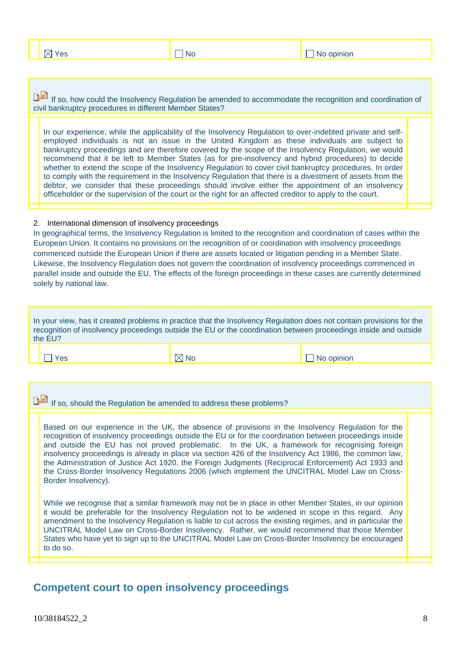$\Box$  No  $\Box$  No opinion

If so, how could the Insolvency Regulation be amended to accommodate the recognition and coordination of civil bankruptcy procedures in different Member States?

In our experience, while the applicability of the Insolvency Regulation to over-indebted private and selfemployed individuals is not an issue in the United Kingdom as these individuals are subject to bankruptcy proceedings and are therefore covered by the scope of the Insolvency Regulation, we would recommend that it be left to Member States (as for pre-insolvency and hybrid procedures) to decide whether to extend the scope of the Insolvency Regulation to cover civil bankruptcy procedures. In order to comply with the requirement in the Insolvency Regulation that there is a divestment of assets from the debtor, we consider that these proceedings should involve either the appointment of an insolvency officeholder or the supervision of the court or the right for an affected creditor to apply to the court.

### 2. International dimension of insolvency proceedings

In geographical terms, the Insolvency Regulation is limited to the recognition and coordination of cases within the European Union. It contains no provisions on the recognition of or coordination with insolvency proceedings commenced outside the European Union if there are assets located or litigation pending in a Member State. Likewise, the Insolvency Regulation does not govern the coordination of insolvency proceedings commenced in parallel inside and outside the EU. The effects of the foreign proceedings in these cases are currently determined solely by national law.

| In your view, has it created problems in practice that the Insolvency Regulation does not contain provisions for the<br>recognition of insolvency proceedings outside the EU or the coordination between proceedings inside and outside<br>the EU?                                                                                                                                                                                                                                                                                                                                                                                                      |                |            |  |  |
|---------------------------------------------------------------------------------------------------------------------------------------------------------------------------------------------------------------------------------------------------------------------------------------------------------------------------------------------------------------------------------------------------------------------------------------------------------------------------------------------------------------------------------------------------------------------------------------------------------------------------------------------------------|----------------|------------|--|--|
| Yes                                                                                                                                                                                                                                                                                                                                                                                                                                                                                                                                                                                                                                                     | $\boxtimes$ No | No opinion |  |  |
|                                                                                                                                                                                                                                                                                                                                                                                                                                                                                                                                                                                                                                                         |                |            |  |  |
| If so, should the Regulation be amended to address these problems?                                                                                                                                                                                                                                                                                                                                                                                                                                                                                                                                                                                      |                |            |  |  |
| Based on our experience in the UK, the absence of provisions in the Insolvency Regulation for the<br>recognition of insolvency proceedings outside the EU or for the coordination between proceedings inside<br>and outside the EU has not proved problematic. In the UK, a framework for recognising foreign<br>insolvency proceedings is already in place via section 426 of the Insolvency Act 1986, the common law,<br>the Administration of Justice Act 1920, the Foreign Judgments (Reciprocal Enforcement) Act 1933 and<br>the Cross-Border Insolvency Regulations 2006 (which implement the UNCITRAL Model Law on Cross-<br>Border Insolvency). |                |            |  |  |

While we recognise that a similar framework may not be in place in other Member States, in our opinion it would be preferable for the Insolvency Regulation not to be widened in scope in this regard. Any amendment to the Insolvency Regulation is liable to cut across the existing regimes, and in particular the UNCITRAL Model Law on Cross-Border Insolvency. Rather, we would recommend that those Member States who have yet to sign up to the UNCITRAL Model Law on Cross-Border Insolvency be encouraged to do so.

## **Competent court to open insolvency proceedings**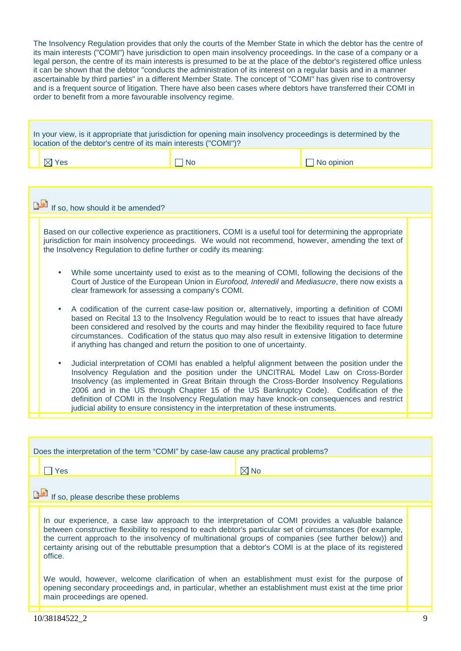The Insolvency Regulation provides that only the courts of the Member State in which the debtor has the centre of its main interests ("COMI") have jurisdiction to open main insolvency proceedings. In the case of a company or a legal person, the centre of its main interests is presumed to be at the place of the debtor's registered office unless it can be shown that the debtor "conducts the administration of its interest on a regular basis and in a manner ascertainable by third parties" in a different Member State. The concept of "COMI" has given rise to controversy and is a frequent source of litigation. There have also been cases where debtors have transferred their COMI in order to benefit from a more favourable insolvency regime.

In your view, is it appropriate that jurisdiction for opening main insolvency proceedings is determined by the location of the debtor's centre of its main interests ("COMI")?

|--|--|

 $\Box$  No  $\Box$  No opinion

| If so, how should it be amended? |                                                                                                                                                                                                                                                                                                                                                                                                                                                                                                                                                                                 |  |  |
|----------------------------------|---------------------------------------------------------------------------------------------------------------------------------------------------------------------------------------------------------------------------------------------------------------------------------------------------------------------------------------------------------------------------------------------------------------------------------------------------------------------------------------------------------------------------------------------------------------------------------|--|--|
|                                  | Based on our collective experience as practitioners, COMI is a useful tool for determining the appropriate<br>jurisdiction for main insolvency proceedings. We would not recommend, however, amending the text of<br>the Insolvency Regulation to define further or codify its meaning:                                                                                                                                                                                                                                                                                         |  |  |
|                                  | While some uncertainty used to exist as to the meaning of COMI, following the decisions of the<br>$\bullet$<br>Court of Justice of the European Union in Eurofood, Interedil and Mediasucre, there now exists a<br>clear framework for assessing a company's COMI.                                                                                                                                                                                                                                                                                                              |  |  |
|                                  | A codification of the current case-law position or, alternatively, importing a definition of COMI<br>$\bullet$<br>based on Recital 13 to the Insolvency Regulation would be to react to issues that have already<br>been considered and resolved by the courts and may hinder the flexibility required to face future<br>circumstances. Codification of the status quo may also result in extensive litigation to determine<br>if anything has changed and return the position to one of uncertainty.                                                                           |  |  |
|                                  | Judicial interpretation of COMI has enabled a helpful alignment between the position under the<br>$\bullet$<br>Insolvency Regulation and the position under the UNCITRAL Model Law on Cross-Border<br>Insolvency (as implemented in Great Britain through the Cross-Border Insolvency Regulations<br>2006 and in the US through Chapter 15 of the US Bankruptcy Code). Codification of the<br>definition of COMI in the Insolvency Regulation may have knock-on consequences and restrict<br>judicial ability to ensure consistency in the interpretation of these instruments. |  |  |

| Does the interpretation of the term "COMI" by case-law cause any practical problems? |                                                                                                                                                                                                                                                                                                                                                                                                                                                 |                |  |  |  |  |
|--------------------------------------------------------------------------------------|-------------------------------------------------------------------------------------------------------------------------------------------------------------------------------------------------------------------------------------------------------------------------------------------------------------------------------------------------------------------------------------------------------------------------------------------------|----------------|--|--|--|--|
|                                                                                      | Yes                                                                                                                                                                                                                                                                                                                                                                                                                                             | $\boxtimes$ No |  |  |  |  |
|                                                                                      | If so, please describe these problems                                                                                                                                                                                                                                                                                                                                                                                                           |                |  |  |  |  |
|                                                                                      | In our experience, a case law approach to the interpretation of COMI provides a valuable balance<br>between constructive flexibility to respond to each debtor's particular set of circumstances (for example,<br>the current approach to the insolvency of multinational groups of companies (see further below)) and<br>certainty arising out of the rebuttable presumption that a debtor's COMI is at the place of its registered<br>office. |                |  |  |  |  |
|                                                                                      | We would, however, welcome clarification of when an establishment must exist for the purpose of<br>opening secondary proceedings and, in particular, whether an establishment must exist at the time prior<br>main proceedings are opened.                                                                                                                                                                                                      |                |  |  |  |  |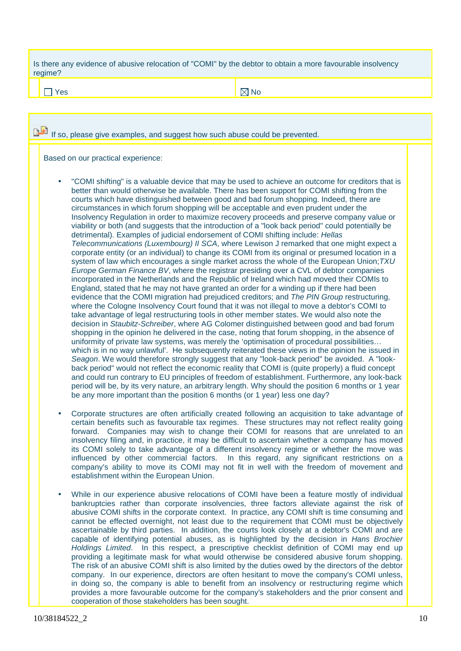Is there any evidence of abusive relocation of "COMI" by the debtor to obtain a more favourable insolvency regime?

 $Y$ es  $\begin{array}{ccc} & & \end{array}$ 

If so, please give examples, and suggest how such abuse could be prevented. Based on our practical experience: • "COMI shifting" is a valuable device that may be used to achieve an outcome for creditors that is better than would otherwise be available. There has been support for COMI shifting from the courts which have distinguished between good and bad forum shopping. Indeed, there are circumstances in which forum shopping will be acceptable and even prudent under the Insolvency Regulation in order to maximize recovery proceeds and preserve company value or viability or both (and suggests that the introduction of a "look back period" could potentially be detrimental). Examples of judicial endorsement of COMI shifting include: *Hellas Telecommunications (Luxembourg) II SCA*, where Lewison J remarked that one might expect a corporate entity (or an individual) to change its COMI from its original or presumed location in a system of law which encourages a single market across the whole of the European Union;*TXU Europe German Finance BV*, where the registrar presiding over a CVL of debtor companies incorporated in the Netherlands and the Republic of Ireland which had moved their COMIs to England, stated that he may not have granted an order for a winding up if there had been evidence that the COMI migration had prejudiced creditors; and *The PIN Group* restructuring, where the Cologne Insolvency Court found that it was not illegal to move a debtor's COMI to take advantage of legal restructuring tools in other member states. We would also note the decision in *Staubitz-Schreiber*, where AG Colomer distinguished between good and bad forum shopping in the opinion he delivered in the case, noting that forum shopping, in the absence of uniformity of private law systems, was merely the 'optimisation of procedural possibilities… which is in no way unlawful'. He subsequently reiterated these views in the opinion he issued in *Seagon*. We would therefore strongly suggest that any "look-back period" be avoided. A "lookback period" would not reflect the economic reality that COMI is (quite properly) a fluid concept and could run contrary to EU principles of freedom of establishment. Furthermore, any look-back period will be, by its very nature, an arbitrary length. Why should the position 6 months or 1 year be any more important than the position 6 months (or 1 year) less one day?

- Corporate structures are often artificially created following an acquisition to take advantage of certain benefits such as favourable tax regimes. These structures may not reflect reality going forward. Companies may wish to change their COMI for reasons that are unrelated to an insolvency filing and, in practice, it may be difficult to ascertain whether a company has moved its COMI solely to take advantage of a different insolvency regime or whether the move was influenced by other commercial factors. In this regard, any significant restrictions on a company's ability to move its COMI may not fit in well with the freedom of movement and establishment within the European Union.
- While in our experience abusive relocations of COMI have been a feature mostly of individual bankruptcies rather than corporate insolvencies, three factors alleviate against the risk of abusive COMI shifts in the corporate context. In practice, any COMI shift is time consuming and cannot be effected overnight, not least due to the requirement that COMI must be objectively ascertainable by third parties. In addition, the courts look closely at a debtor's COMI and are capable of identifying potential abuses, as is highlighted by the decision in *Hans Brochier Holdings Limited*. In this respect, a prescriptive checklist definition of COMI may end up providing a legitimate mask for what would otherwise be considered abusive forum shopping. The risk of an abusive COMI shift is also limited by the duties owed by the directors of the debtor company. In our experience, directors are often hesitant to move the company's COMI unless, in doing so, the company is able to benefit from an insolvency or restructuring regime which provides a more favourable outcome for the company's stakeholders and the prior consent and cooperation of those stakeholders has been sought.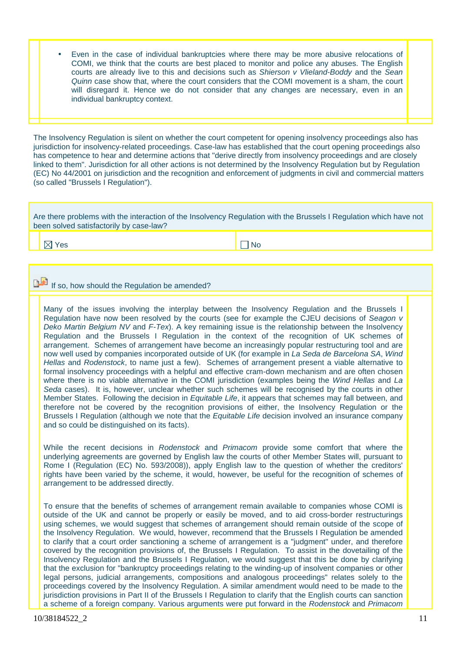• Even in the case of individual bankruptcies where there may be more abusive relocations of COMI, we think that the courts are best placed to monitor and police any abuses. The English courts are already live to this and decisions such as *Shierson v Vlieland-Boddy* and the *Sean Quinn* case show that, where the court considers that the COMI movement is a sham, the court will disregard it. Hence we do not consider that any changes are necessary, even in an individual bankruptcy context.

The Insolvency Regulation is silent on whether the court competent for opening insolvency proceedings also has jurisdiction for insolvency-related proceedings. Case-law has established that the court opening proceedings also has competence to hear and determine actions that "derive directly from insolvency proceedings and are closely linked to them". Jurisdiction for all other actions is not determined by the Insolvency Regulation but by Regulation (EC) No 44/2001 on jurisdiction and the recognition and enforcement of judgments in civil and commercial matters (so called "Brussels I Regulation").

Are there problems with the interaction of the Insolvency Regulation with the Brussels I Regulation which have not been solved satisfactorily by case-law?

Yes No. In the No. In the No. In the No. In the No. In the No. In the No. In the No. In the No. In the No. In the No. In the No. In the No. In the No. In the No. In the No. In the No. In the No. In the No. In the No. In t

## If so, how should the Regulation be amended?

Many of the issues involving the interplay between the Insolvency Regulation and the Brussels I Regulation have now been resolved by the courts (see for example the CJEU decisions of *Seagon v Deko Martin Belgium NV* and *F-Tex*). A key remaining issue is the relationship between the Insolvency Regulation and the Brussels I Regulation in the context of the recognition of UK schemes of arrangement. Schemes of arrangement have become an increasingly popular restructuring tool and are now well used by companies incorporated outside of UK (for example in *La Seda de Barcelona SA*, *Wind Hellas* and *Rodenstock*, to name just a few). Schemes of arrangement present a viable alternative to formal insolvency proceedings with a helpful and effective cram-down mechanism and are often chosen where there is no viable alternative in the COMI jurisdiction (examples being the *Wind Hellas* and *La Seda* cases). It is, however, unclear whether such schemes will be recognised by the courts in other Member States. Following the decision in *Equitable Life*, it appears that schemes may fall between, and therefore not be covered by the recognition provisions of either, the Insolvency Regulation or the Brussels I Regulation (although we note that the *Equitable Life* decision involved an insurance company and so could be distinguished on its facts).

While the recent decisions in *Rodenstock* and *Primacom* provide some comfort that where the underlying agreements are governed by English law the courts of other Member States will, pursuant to Rome I (Regulation (EC) No. 593/2008)), apply English law to the question of whether the creditors' rights have been varied by the scheme, it would, however, be useful for the recognition of schemes of arrangement to be addressed directly.

To ensure that the benefits of schemes of arrangement remain available to companies whose COMI is outside of the UK and cannot be properly or easily be moved, and to aid cross-border restructurings using schemes, we would suggest that schemes of arrangement should remain outside of the scope of the Insolvency Regulation. We would, however, recommend that the Brussels I Regulation be amended to clarify that a court order sanctioning a scheme of arrangement is a "judgment" under, and therefore covered by the recognition provisions of, the Brussels I Regulation. To assist in the dovetailing of the Insolvency Regulation and the Brussels I Regulation, we would suggest that this be done by clarifying that the exclusion for "bankruptcy proceedings relating to the winding-up of insolvent companies or other legal persons, judicial arrangements, compositions and analogous proceedings" relates solely to the proceedings covered by the Insolvency Regulation. A similar amendment would need to be made to the jurisdiction provisions in Part II of the Brussels I Regulation to clarify that the English courts can sanction a scheme of a foreign company. Various arguments were put forward in the *Rodenstock* and *Primacom*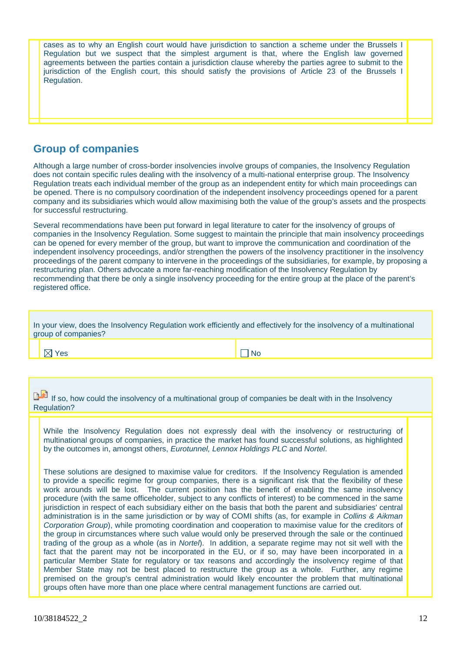cases as to why an English court would have jurisdiction to sanction a scheme under the Brussels I Regulation but we suspect that the simplest argument is that, where the English law governed agreements between the parties contain a jurisdiction clause whereby the parties agree to submit to the jurisdiction of the English court, this should satisfy the provisions of Article 23 of the Brussels I Regulation.

## **Group of companies**

Although a large number of cross-border insolvencies involve groups of companies, the Insolvency Regulation does not contain specific rules dealing with the insolvency of a multi-national enterprise group. The Insolvency Regulation treats each individual member of the group as an independent entity for which main proceedings can be opened. There is no compulsory coordination of the independent insolvency proceedings opened for a parent company and its subsidiaries which would allow maximising both the value of the group's assets and the prospects for successful restructuring.

Several recommendations have been put forward in legal literature to cater for the insolvency of groups of companies in the Insolvency Regulation. Some suggest to maintain the principle that main insolvency proceedings can be opened for every member of the group, but want to improve the communication and coordination of the independent insolvency proceedings, and/or strengthen the powers of the insolvency practitioner in the insolvency proceedings of the parent company to intervene in the proceedings of the subsidiaries, for example, by proposing a restructuring plan. Others advocate a more far-reaching modification of the Insolvency Regulation by recommending that there be only a single insolvency proceeding for the entire group at the place of the parent's registered office.

| In your view, does the Insolvency Regulation work efficiently and effectively for the insolvency of a multinational<br>group of companies? |
|--------------------------------------------------------------------------------------------------------------------------------------------|
|                                                                                                                                            |

Yes No. → No. → No. → No. → No. → No. → No. → No. → No. → No. → No. → No. → No. → No. → No. → No. → No. → No. → No. → No. → No. → No. → No. → No. → No. → No. → No. → No. → No. → No. → No. → No. → No. → No. → No. → No. → N

If so, how could the insolvency of a multinational group of companies be dealt with in the Insolvency Regulation?

While the Insolvency Regulation does not expressly deal with the insolvency or restructuring of multinational groups of companies, in practice the market has found successful solutions, as highlighted by the outcomes in, amongst others, *Eurotunnel, Lennox Holdings PLC* and *Nortel*.

These solutions are designed to maximise value for creditors. If the Insolvency Regulation is amended to provide a specific regime for group companies, there is a significant risk that the flexibility of these work arounds will be lost. The current position has the benefit of enabling the same insolvency procedure (with the same officeholder, subject to any conflicts of interest) to be commenced in the same jurisdiction in respect of each subsidiary either on the basis that both the parent and subsidiaries' central administration is in the same jurisdiction or by way of COMI shifts (as, for example in *Collins & Aikman Corporation Group*), while promoting coordination and cooperation to maximise value for the creditors of the group in circumstances where such value would only be preserved through the sale or the continued trading of the group as a whole (as in *Nortel*). In addition, a separate regime may not sit well with the fact that the parent may not be incorporated in the EU, or if so, may have been incorporated in a particular Member State for regulatory or tax reasons and accordingly the insolvency regime of that Member State may not be best placed to restructure the group as a whole. Further, any regime premised on the group's central administration would likely encounter the problem that multinational groups often have more than one place where central management functions are carried out.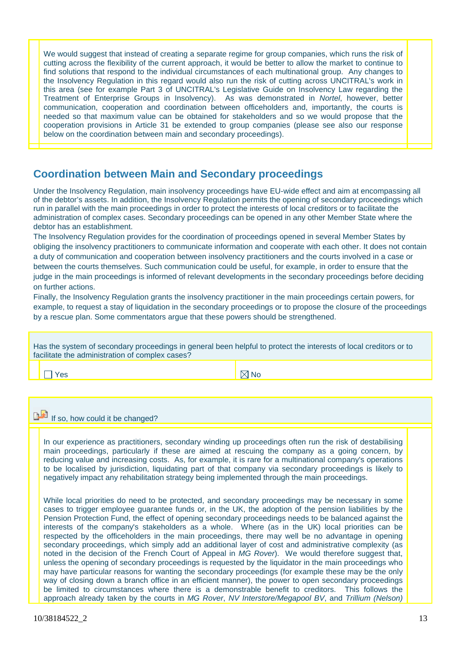We would suggest that instead of creating a separate regime for group companies, which runs the risk of cutting across the flexibility of the current approach, it would be better to allow the market to continue to find solutions that respond to the individual circumstances of each multinational group. Any changes to the Insolvency Regulation in this regard would also run the risk of cutting across UNCITRAL's work in this area (see for example Part 3 of UNCITRAL's Legislative Guide on Insolvency Law regarding the Treatment of Enterprise Groups in Insolvency). As was demonstrated in *Nortel*, however, better communication, cooperation and coordination between officeholders and, importantly, the courts is needed so that maximum value can be obtained for stakeholders and so we would propose that the cooperation provisions in Article 31 be extended to group companies (please see also our response below on the coordination between main and secondary proceedings).

## **Coordination between Main and Secondary proceedings**

Under the Insolvency Regulation, main insolvency proceedings have EU-wide effect and aim at encompassing all of the debtor's assets. In addition, the Insolvency Regulation permits the opening of secondary proceedings which run in parallel with the main proceedings in order to protect the interests of local creditors or to facilitate the administration of complex cases. Secondary proceedings can be opened in any other Member State where the debtor has an establishment.

The Insolvency Regulation provides for the coordination of proceedings opened in several Member States by obliging the insolvency practitioners to communicate information and cooperate with each other. It does not contain a duty of communication and cooperation between insolvency practitioners and the courts involved in a case or between the courts themselves. Such communication could be useful, for example, in order to ensure that the judge in the main proceedings is informed of relevant developments in the secondary proceedings before deciding on further actions.

Finally, the Insolvency Regulation grants the insolvency practitioner in the main proceedings certain powers, for example, to request a stay of liquidation in the secondary proceedings or to propose the closure of the proceedings by a rescue plan. Some commentators argue that these powers should be strengthened.

|                                                 | Has the system of secondary proceedings in general been helpful to protect the interests of local creditors or to |
|-------------------------------------------------|-------------------------------------------------------------------------------------------------------------------|
| facilitate the administration of complex cases? |                                                                                                                   |

Yes No. In the North South of the North South of the North South of the North South of the North South of the N

If so, how could it be changed?

In our experience as practitioners, secondary winding up proceedings often run the risk of destabilising main proceedings, particularly if these are aimed at rescuing the company as a going concern, by reducing value and increasing costs. As, for example, it is rare for a multinational company's operations to be localised by jurisdiction, liquidating part of that company via secondary proceedings is likely to negatively impact any rehabilitation strategy being implemented through the main proceedings.

While local priorities do need to be protected, and secondary proceedings may be necessary in some cases to trigger employee guarantee funds or, in the UK, the adoption of the pension liabilities by the Pension Protection Fund, the effect of opening secondary proceedings needs to be balanced against the interests of the company's stakeholders as a whole. Where (as in the UK) local priorities can be respected by the officeholders in the main proceedings, there may well be no advantage in opening secondary proceedings, which simply add an additional layer of cost and administrative complexity (as noted in the decision of the French Court of Appeal in *MG Rover*). We would therefore suggest that, unless the opening of secondary proceedings is requested by the liquidator in the main proceedings who may have particular reasons for wanting the secondary proceedings (for example these may be the only way of closing down a branch office in an efficient manner), the power to open secondary proceedings be limited to circumstances where there is a demonstrable benefit to creditors. This follows the approach already taken by the courts in *MG Rover*, *NV Interstore/Megapool BV*, and *Trillium (Nelson)*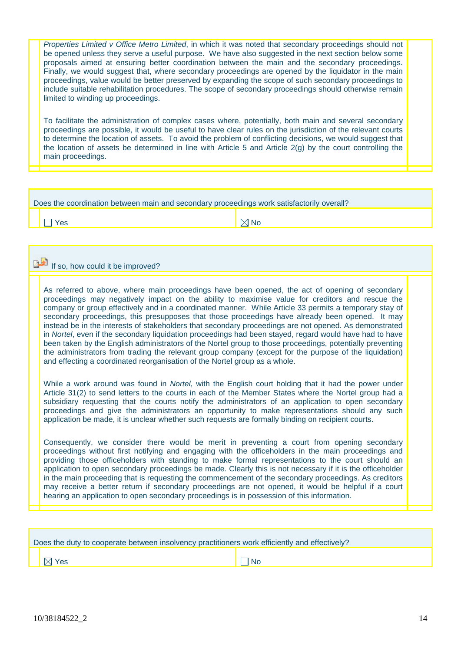*Properties Limited v Office Metro Limited*, in which it was noted that secondary proceedings should not be opened unless they serve a useful purpose. We have also suggested in the next section below some proposals aimed at ensuring better coordination between the main and the secondary proceedings. Finally, we would suggest that, where secondary proceedings are opened by the liquidator in the main proceedings, value would be better preserved by expanding the scope of such secondary proceedings to include suitable rehabilitation procedures. The scope of secondary proceedings should otherwise remain limited to winding up proceedings.

To facilitate the administration of complex cases where, potentially, both main and several secondary proceedings are possible, it would be useful to have clear rules on the jurisdiction of the relevant courts to determine the location of assets. To avoid the problem of conflicting decisions, we would suggest that the location of assets be determined in line with Article 5 and Article 2(g) by the court controlling the main proceedings.

| Does the coordination between main and secondary proceedings work satisfactorily overall? |                                  |                |  |  |
|-------------------------------------------------------------------------------------------|----------------------------------|----------------|--|--|
|                                                                                           | Yes                              | $\boxtimes$ No |  |  |
|                                                                                           |                                  |                |  |  |
|                                                                                           | If so, how could it be improved? |                |  |  |

As referred to above, where main proceedings have been opened, the act of opening of secondary proceedings may negatively impact on the ability to maximise value for creditors and rescue the company or group effectively and in a coordinated manner. While Article 33 permits a temporary stay of secondary proceedings, this presupposes that those proceedings have already been opened. It may instead be in the interests of stakeholders that secondary proceedings are not opened. As demonstrated in *Nortel*, even if the secondary liquidation proceedings had been stayed, regard would have had to have been taken by the English administrators of the Nortel group to those proceedings, potentially preventing the administrators from trading the relevant group company (except for the purpose of the liquidation) and effecting a coordinated reorganisation of the Nortel group as a whole.

While a work around was found in *Nortel*, with the English court holding that it had the power under Article 31(2) to send letters to the courts in each of the Member States where the Nortel group had a subsidiary requesting that the courts notify the administrators of an application to open secondary proceedings and give the administrators an opportunity to make representations should any such application be made, it is unclear whether such requests are formally binding on recipient courts.

Consequently, we consider there would be merit in preventing a court from opening secondary proceedings without first notifying and engaging with the officeholders in the main proceedings and providing those officeholders with standing to make formal representations to the court should an application to open secondary proceedings be made. Clearly this is not necessary if it is the officeholder in the main proceeding that is requesting the commencement of the secondary proceedings. As creditors may receive a better return if secondary proceedings are not opened, it would be helpful if a court hearing an application to open secondary proceedings is in possession of this information.

| Does the duty to cooperate between insolvency practitioners work efficiently and effectively? |      |
|-----------------------------------------------------------------------------------------------|------|
| $\boxtimes$ Yes                                                                               | l No |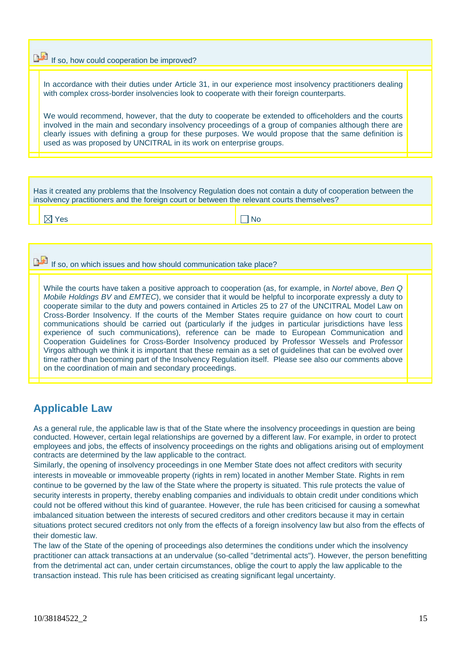|  |  |  |  |  |  |  |  | If so, how could cooperation be improved? |  |
|--|--|--|--|--|--|--|--|-------------------------------------------|--|
|--|--|--|--|--|--|--|--|-------------------------------------------|--|

In accordance with their duties under Article 31, in our experience most insolvency practitioners dealing with complex cross-border insolvencies look to cooperate with their foreign counterparts.

We would recommend, however, that the duty to cooperate be extended to officeholders and the courts involved in the main and secondary insolvency proceedings of a group of companies although there are clearly issues with defining a group for these purposes. We would propose that the same definition is used as was proposed by UNCITRAL in its work on enterprise groups.

Has it created any problems that the Insolvency Regulation does not contain a duty of cooperation between the insolvency practitioners and the foreign court or between the relevant courts themselves?

Yes No. In the No. In the No. In the No. In the No. In the No. In the No. In the No. In the No. In the No. In the No. In the No. In the No. In the No. In the No. In the No. In the No. In the No. In the No. In the No. In t

If so, on which issues and how should communication take place?

While the courts have taken a positive approach to cooperation (as, for example, in *Nortel* above, *Ben Q Mobile Holdings BV* and *EMTEC*), we consider that it would be helpful to incorporate expressly a duty to cooperate similar to the duty and powers contained in Articles 25 to 27 of the UNCITRAL Model Law on Cross-Border Insolvency. If the courts of the Member States require guidance on how court to court communications should be carried out (particularly if the judges in particular jurisdictions have less experience of such communications), reference can be made to European Communication and Cooperation Guidelines for Cross-Border Insolvency produced by Professor Wessels and Professor Virgos although we think it is important that these remain as a set of guidelines that can be evolved over time rather than becoming part of the Insolvency Regulation itself. Please see also our comments above on the coordination of main and secondary proceedings.

## **Applicable Law**

As a general rule, the applicable law is that of the State where the insolvency proceedings in question are being conducted. However, certain legal relationships are governed by a different law. For example, in order to protect employees and jobs, the effects of insolvency proceedings on the rights and obligations arising out of employment contracts are determined by the law applicable to the contract.

Similarly, the opening of insolvency proceedings in one Member State does not affect creditors with security interests in moveable or immoveable property (rights in rem) located in another Member State. Rights in rem continue to be governed by the law of the State where the property is situated. This rule protects the value of security interests in property, thereby enabling companies and individuals to obtain credit under conditions which could not be offered without this kind of guarantee. However, the rule has been criticised for causing a somewhat imbalanced situation between the interests of secured creditors and other creditors because it may in certain situations protect secured creditors not only from the effects of a foreign insolvency law but also from the effects of their domestic law.

The law of the State of the opening of proceedings also determines the conditions under which the insolvency practitioner can attack transactions at an undervalue (so-called "detrimental acts"). However, the person benefitting from the detrimental act can, under certain circumstances, oblige the court to apply the law applicable to the transaction instead. This rule has been criticised as creating significant legal uncertainty.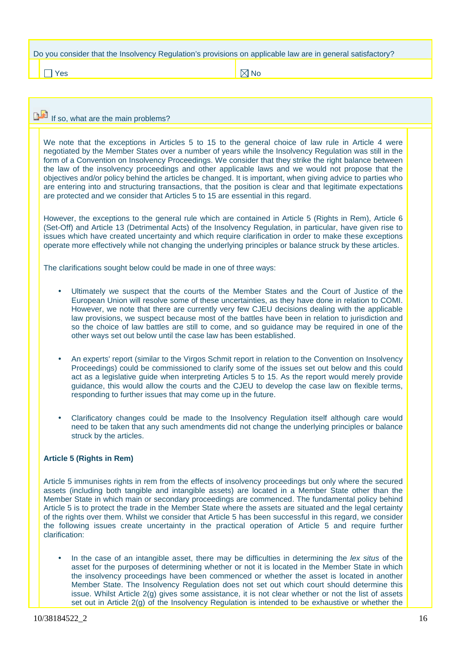|  | Do you consider that the Insolvency Regulation's provisions on applicable law are in general satisfactory? |  |  |
|--|------------------------------------------------------------------------------------------------------------|--|--|
|  |                                                                                                            |  |  |
|  |                                                                                                            |  |  |

Yes No. In the North South of North South of North South of North South of North South of No

## If so, what are the main problems?

We note that the exceptions in Articles 5 to 15 to the general choice of law rule in Article 4 were negotiated by the Member States over a number of years while the Insolvency Regulation was still in the form of a Convention on Insolvency Proceedings. We consider that they strike the right balance between the law of the insolvency proceedings and other applicable laws and we would not propose that the objectives and/or policy behind the articles be changed. It is important, when giving advice to parties who are entering into and structuring transactions, that the position is clear and that legitimate expectations are protected and we consider that Articles 5 to 15 are essential in this regard.

However, the exceptions to the general rule which are contained in Article 5 (Rights in Rem), Article 6 (Set-Off) and Article 13 (Detrimental Acts) of the Insolvency Regulation, in particular, have given rise to issues which have created uncertainty and which require clarification in order to make these exceptions operate more effectively while not changing the underlying principles or balance struck by these articles.

The clarifications sought below could be made in one of three ways:

- Ultimately we suspect that the courts of the Member States and the Court of Justice of the European Union will resolve some of these uncertainties, as they have done in relation to COMI. However, we note that there are currently very few CJEU decisions dealing with the applicable law provisions, we suspect because most of the battles have been in relation to jurisdiction and so the choice of law battles are still to come, and so guidance may be required in one of the other ways set out below until the case law has been established.
- An experts' report (similar to the Virgos Schmit report in relation to the Convention on Insolvency Proceedings) could be commissioned to clarify some of the issues set out below and this could act as a legislative guide when interpreting Articles 5 to 15. As the report would merely provide guidance, this would allow the courts and the CJEU to develop the case law on flexible terms, responding to further issues that may come up in the future.
- Clarificatory changes could be made to the Insolvency Regulation itself although care would need to be taken that any such amendments did not change the underlying principles or balance struck by the articles.

### **Article 5 (Rights in Rem)**

Article 5 immunises rights in rem from the effects of insolvency proceedings but only where the secured assets (including both tangible and intangible assets) are located in a Member State other than the Member State in which main or secondary proceedings are commenced. The fundamental policy behind Article 5 is to protect the trade in the Member State where the assets are situated and the legal certainty of the rights over them. Whilst we consider that Article 5 has been successful in this regard, we consider the following issues create uncertainty in the practical operation of Article 5 and require further clarification:

• In the case of an intangible asset, there may be difficulties in determining the *lex situs* of the asset for the purposes of determining whether or not it is located in the Member State in which the insolvency proceedings have been commenced or whether the asset is located in another Member State. The Insolvency Regulation does not set out which court should determine this issue. Whilst Article 2(g) gives some assistance, it is not clear whether or not the list of assets set out in Article 2(g) of the Insolvency Regulation is intended to be exhaustive or whether the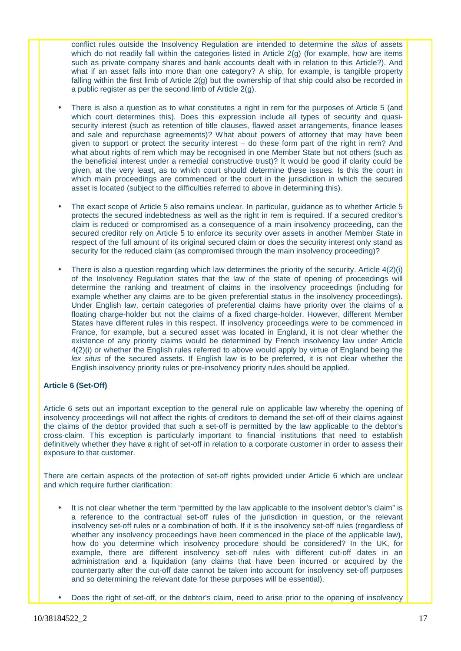conflict rules outside the Insolvency Regulation are intended to determine the *situs* of assets which do not readily fall within the categories listed in Article 2(g) (for example, how are items such as private company shares and bank accounts dealt with in relation to this Article?). And what if an asset falls into more than one category? A ship, for example, is tangible property falling within the first limb of Article 2(g) but the ownership of that ship could also be recorded in a public register as per the second limb of Article 2(g).

- There is also a question as to what constitutes a right in rem for the purposes of Article 5 (and which court determines this). Does this expression include all types of security and quasisecurity interest (such as retention of title clauses, flawed asset arrangements, finance leases and sale and repurchase agreements)? What about powers of attorney that may have been given to support or protect the security interest – do these form part of the right in rem? And what about rights of rem which may be recognised in one Member State but not others (such as the beneficial interest under a remedial constructive trust)? It would be good if clarity could be given, at the very least, as to which court should determine these issues. Is this the court in which main proceedings are commenced or the court in the jurisdiction in which the secured asset is located (subject to the difficulties referred to above in determining this).
- The exact scope of Article 5 also remains unclear. In particular, guidance as to whether Article 5 protects the secured indebtedness as well as the right in rem is required. If a secured creditor's claim is reduced or compromised as a consequence of a main insolvency proceeding, can the secured creditor rely on Article 5 to enforce its security over assets in another Member State in respect of the full amount of its original secured claim or does the security interest only stand as security for the reduced claim (as compromised through the main insolvency proceeding)?
- There is also a question regarding which law determines the priority of the security. Article 4(2)(i) of the Insolvency Regulation states that the law of the state of opening of proceedings will determine the ranking and treatment of claims in the insolvency proceedings (including for example whether any claims are to be given preferential status in the insolvency proceedings). Under English law, certain categories of preferential claims have priority over the claims of a floating charge-holder but not the claims of a fixed charge-holder. However, different Member States have different rules in this respect. If insolvency proceedings were to be commenced in France, for example, but a secured asset was located in England, it is not clear whether the existence of any priority claims would be determined by French insolvency law under Article 4(2)(i) or whether the English rules referred to above would apply by virtue of England being the *lex situs* of the secured assets. If English law is to be preferred, it is not clear whether the English insolvency priority rules or pre-insolvency priority rules should be applied.

### **Article 6 (Set-Off)**

Article 6 sets out an important exception to the general rule on applicable law whereby the opening of insolvency proceedings will not affect the rights of creditors to demand the set-off of their claims against the claims of the debtor provided that such a set-off is permitted by the law applicable to the debtor's cross-claim. This exception is particularly important to financial institutions that need to establish definitively whether they have a right of set-off in relation to a corporate customer in order to assess their exposure to that customer.

There are certain aspects of the protection of set-off rights provided under Article 6 which are unclear and which require further clarification:

- It is not clear whether the term "permitted by the law applicable to the insolvent debtor's claim" is a reference to the contractual set-off rules of the jurisdiction in question, or the relevant insolvency set-off rules or a combination of both. If it is the insolvency set-off rules (regardless of whether any insolvency proceedings have been commenced in the place of the applicable law), how do you determine which insolvency procedure should be considered? In the UK, for example, there are different insolvency set-off rules with different cut-off dates in an administration and a liquidation (any claims that have been incurred or acquired by the counterparty after the cut-off date cannot be taken into account for insolvency set-off purposes and so determining the relevant date for these purposes will be essential).
	- Does the right of set-off, or the debtor's claim, need to arise prior to the opening of insolvency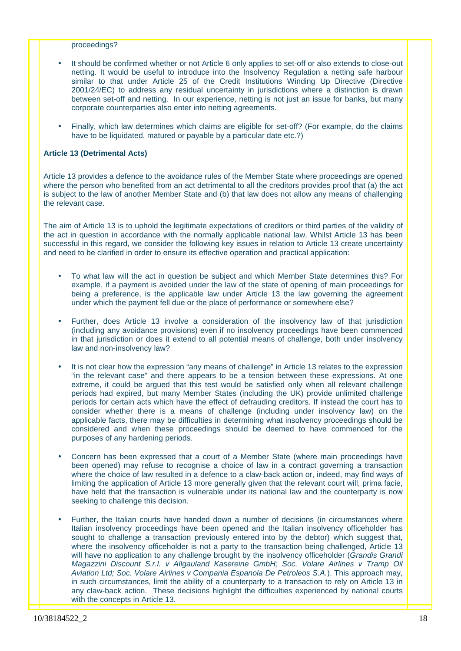#### proceedings?

- It should be confirmed whether or not Article 6 only applies to set-off or also extends to close-out netting. It would be useful to introduce into the Insolvency Regulation a netting safe harbour similar to that under Article 25 of the Credit Institutions Winding Up Directive (Directive 2001/24/EC) to address any residual uncertainty in jurisdictions where a distinction is drawn between set-off and netting. In our experience, netting is not just an issue for banks, but many corporate counterparties also enter into netting agreements.
- Finally, which law determines which claims are eligible for set-off? (For example, do the claims have to be liquidated, matured or payable by a particular date etc.?)

#### **Article 13 (Detrimental Acts)**

Article 13 provides a defence to the avoidance rules of the Member State where proceedings are opened where the person who benefited from an act detrimental to all the creditors provides proof that (a) the act is subject to the law of another Member State and (b) that law does not allow any means of challenging the relevant case.

The aim of Article 13 is to uphold the legitimate expectations of creditors or third parties of the validity of the act in question in accordance with the normally applicable national law. Whilst Article 13 has been successful in this regard, we consider the following key issues in relation to Article 13 create uncertainty and need to be clarified in order to ensure its effective operation and practical application:

- To what law will the act in question be subject and which Member State determines this? For example, if a payment is avoided under the law of the state of opening of main proceedings for being a preference, is the applicable law under Article 13 the law governing the agreement under which the payment fell due or the place of performance or somewhere else?
- Further, does Article 13 involve a consideration of the insolvency law of that jurisdiction (including any avoidance provisions) even if no insolvency proceedings have been commenced in that jurisdiction or does it extend to all potential means of challenge, both under insolvency law and non-insolvency law?
- It is not clear how the expression "any means of challenge" in Article 13 relates to the expression "in the relevant case" and there appears to be a tension between these expressions. At one extreme, it could be argued that this test would be satisfied only when all relevant challenge periods had expired, but many Member States (including the UK) provide unlimited challenge periods for certain acts which have the effect of defrauding creditors. If instead the court has to consider whether there is a means of challenge (including under insolvency law) on the applicable facts, there may be difficulties in determining what insolvency proceedings should be considered and when these proceedings should be deemed to have commenced for the purposes of any hardening periods.
- Concern has been expressed that a court of a Member State (where main proceedings have been opened) may refuse to recognise a choice of law in a contract governing a transaction where the choice of law resulted in a defence to a claw-back action or, indeed, may find ways of limiting the application of Article 13 more generally given that the relevant court will, prima facie, have held that the transaction is vulnerable under its national law and the counterparty is now seeking to challenge this decision.
- Further, the Italian courts have handed down a number of decisions (in circumstances where Italian insolvency proceedings have been opened and the Italian insolvency officeholder has sought to challenge a transaction previously entered into by the debtor) which suggest that, where the insolvency officeholder is not a party to the transaction being challenged, Article 13 will have no application to any challenge brought by the insolvency officeholder (*Grandis Grandi Magazzini Discount S.r.l. v Allgauland Kasereine GmbH; Soc. Volare Airlines v Tramp Oil Aviation Ltd; Soc. Volare Airlines v Compania Espanola De Petroleos S.A.*). This approach may, in such circumstances, limit the ability of a counterparty to a transaction to rely on Article 13 in any claw-back action. These decisions highlight the difficulties experienced by national courts with the concepts in Article 13.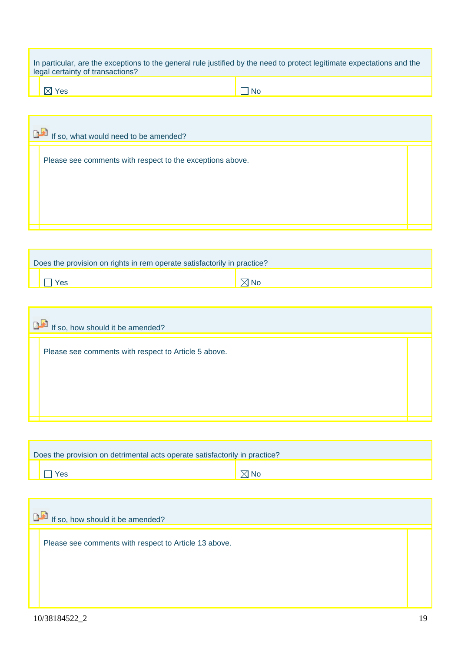| In particular, are the exceptions to the general rule justified by the need to protect legitimate expectations and the |  |
|------------------------------------------------------------------------------------------------------------------------|--|
| legal certainty of transactions?                                                                                       |  |

| $\boxtimes$ Yes |  |
|-----------------|--|
|                 |  |

| If so, what would need to be amended?                     |  |
|-----------------------------------------------------------|--|
| Please see comments with respect to the exceptions above. |  |
|                                                           |  |
|                                                           |  |
|                                                           |  |

| Does the provision on rights in rem operate satisfactorily in practice? |                |
|-------------------------------------------------------------------------|----------------|
| Yes                                                                     | $\boxtimes$ No |

| If so, how should it be amended?                     |  |  |  |  |  |
|------------------------------------------------------|--|--|--|--|--|
| Please see comments with respect to Article 5 above. |  |  |  |  |  |
|                                                      |  |  |  |  |  |
|                                                      |  |  |  |  |  |
|                                                      |  |  |  |  |  |

| Does the provision on detrimental acts operate satisfactorily in practice? |                |  |  |  |  |
|----------------------------------------------------------------------------|----------------|--|--|--|--|
| Yes                                                                        | $\boxtimes$ No |  |  |  |  |

| <b>BE</b> If so, how should it be amended?            |  |  |  |  |  |
|-------------------------------------------------------|--|--|--|--|--|
| Please see comments with respect to Article 13 above. |  |  |  |  |  |
|                                                       |  |  |  |  |  |
|                                                       |  |  |  |  |  |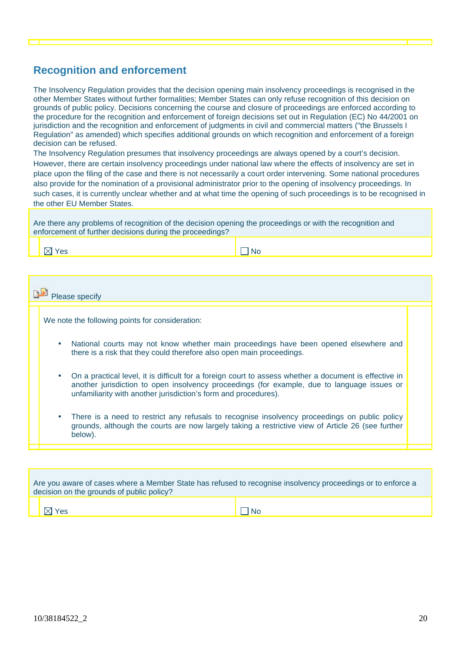# **Recognition and enforcement**

The Insolvency Regulation provides that the decision opening main insolvency proceedings is recognised in the other Member States without further formalities; Member States can only refuse recognition of this decision on grounds of public policy. Decisions concerning the course and closure of proceedings are enforced according to the procedure for the recognition and enforcement of foreign decisions set out in Regulation (EC) No 44/2001 on jurisdiction and the recognition and enforcement of judgments in civil and commercial matters ("the Brussels I Regulation" as amended) which specifies additional grounds on which recognition and enforcement of a foreign decision can be refused.

The Insolvency Regulation presumes that insolvency proceedings are always opened by a court's decision. However, there are certain insolvency proceedings under national law where the effects of insolvency are set in place upon the filing of the case and there is not necessarily a court order intervening. Some national procedures also provide for the nomination of a provisional administrator prior to the opening of insolvency proceedings. In such cases, it is currently unclear whether and at what time the opening of such proceedings is to be recognised in the other EU Member States.

Are there any problems of recognition of the decision opening the proceedings or with the recognition and enforcement of further decisions during the proceedings?

Yes No. → No. → No. → No. → No. → No. → No. → No. → No. → No. → No. → No. → No. → No. → No. → No. → No. → No. → No. → No. → No. → No. → No. → No. → No. → No. → No. → No. → No. → No. → No. → No. → No. → No. → No. → No. → N

**Please** specify

We note the following points for consideration:

- National courts may not know whether main proceedings have been opened elsewhere and there is a risk that they could therefore also open main proceedings.
- On a practical level, it is difficult for a foreign court to assess whether a document is effective in another jurisdiction to open insolvency proceedings (for example, due to language issues or unfamiliarity with another jurisdiction's form and procedures).
- There is a need to restrict any refusals to recognise insolvency proceedings on public policy grounds, although the courts are now largely taking a restrictive view of Article 26 (see further below).

| Are you aware of cases where a Member State has refused to recognise insolvency proceedings or to enforce a<br>decision on the grounds of public policy? |           |  |  |  |  |
|----------------------------------------------------------------------------------------------------------------------------------------------------------|-----------|--|--|--|--|
| $\mathbb {V}$ Yes                                                                                                                                        | <b>No</b> |  |  |  |  |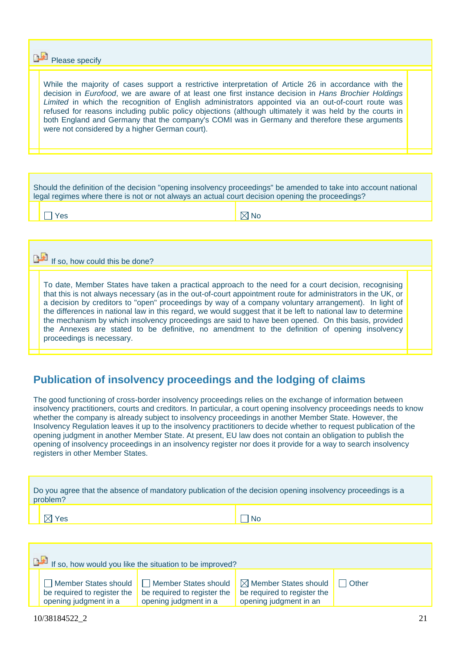**Please specify** 

While the majority of cases support a restrictive interpretation of Article 26 in accordance with the decision in *Eurofood*, we are aware of at least one first instance decision in *Hans Brochier Holdings*  Limited in which the recognition of English administrators appointed via an out-of-court route was refused for reasons including public policy objections (although ultimately it was held by the courts in both England and Germany that the company's COMI was in Germany and therefore these arguments were not considered by a higher German court).

Should the definition of the decision "opening insolvency proceedings" be amended to take into account national legal regimes where there is not or not always an actual court decision opening the proceedings?

 $Y$ es  $\begin{array}{ccc} & & \end{array}$ 

If so, how could this be done?

To date, Member States have taken a practical approach to the need for a court decision, recognising that this is not always necessary (as in the out-of-court appointment route for administrators in the UK, or a decision by creditors to "open" proceedings by way of a company voluntary arrangement). In light of the differences in national law in this regard, we would suggest that it be left to national law to determine the mechanism by which insolvency proceedings are said to have been opened. On this basis, provided the Annexes are stated to be definitive, no amendment to the definition of opening insolvency proceedings is necessary.

## **Publication of insolvency proceedings and the lodging of claims**

Yes No. → No. → No. → No. → No. → No. → No. → No. → No. → No. → No. → No. → No. → No. → No. → No. → No. → No. → No. → No. → No. → No. → No. → No. → No. → No. → No. → No. → No. → No. → No. → No. → No. → No. → No. → No. → N

The good functioning of cross-border insolvency proceedings relies on the exchange of information between insolvency practitioners, courts and creditors. In particular, a court opening insolvency proceedings needs to know whether the company is already subject to insolvency proceedings in another Member State. However, the Insolvency Regulation leaves it up to the insolvency practitioners to decide whether to request publication of the opening judgment in another Member State. At present, EU law does not contain an obligation to publish the opening of insolvency proceedings in an insolvency register nor does it provide for a way to search insolvency registers in other Member States.

| Do you agree that the absence of mandatory publication of the decision opening insolvency proceedings is a<br>problem? |  |  |  |  |
|------------------------------------------------------------------------------------------------------------------------|--|--|--|--|
|                                                                                                                        |  |  |  |  |

| If so, how would you like the situation to be improved?                      |                                                      |                                                                                                                         |                |  |  |  |  |  |  |
|------------------------------------------------------------------------------|------------------------------------------------------|-------------------------------------------------------------------------------------------------------------------------|----------------|--|--|--|--|--|--|
| Member States should<br>be required to register the<br>opening judgment in a | be required to register the<br>opening judgment in a | $\Box$ Member States should $\Box$ Member States should $\Box$<br>be required to register the<br>opening judgment in an | <b>I</b> Other |  |  |  |  |  |  |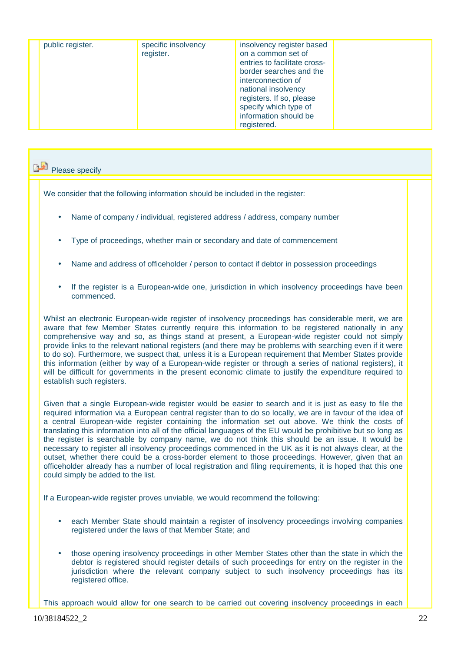|  | public register. | specific insolvency<br>register. | insolvency register based<br>on a common set of<br>entries to facilitate cross-<br>border searches and the<br>interconnection of<br>national insolvency<br>registers. If so, please<br>specify which type of<br>information should be<br>registered. |  |
|--|------------------|----------------------------------|------------------------------------------------------------------------------------------------------------------------------------------------------------------------------------------------------------------------------------------------------|--|
|--|------------------|----------------------------------|------------------------------------------------------------------------------------------------------------------------------------------------------------------------------------------------------------------------------------------------------|--|

# Please specify

We consider that the following information should be included in the register:

- Name of company / individual, registered address / address, company number
- Type of proceedings, whether main or secondary and date of commencement
- Name and address of officeholder / person to contact if debtor in possession proceedings
- If the register is a European-wide one, jurisdiction in which insolvency proceedings have been commenced.

Whilst an electronic European-wide register of insolvency proceedings has considerable merit, we are aware that few Member States currently require this information to be registered nationally in any comprehensive way and so, as things stand at present, a European-wide register could not simply provide links to the relevant national registers (and there may be problems with searching even if it were to do so). Furthermore, we suspect that, unless it is a European requirement that Member States provide this information (either by way of a European-wide register or through a series of national registers), it will be difficult for governments in the present economic climate to justify the expenditure required to establish such registers.

Given that a single European-wide register would be easier to search and it is just as easy to file the required information via a European central register than to do so locally, we are in favour of the idea of a central European-wide register containing the information set out above. We think the costs of translating this information into all of the official languages of the EU would be prohibitive but so long as the register is searchable by company name, we do not think this should be an issue. It would be necessary to register all insolvency proceedings commenced in the UK as it is not always clear, at the outset, whether there could be a cross-border element to those proceedings. However, given that an officeholder already has a number of local registration and filing requirements, it is hoped that this one could simply be added to the list.

If a European-wide register proves unviable, we would recommend the following:

- each Member State should maintain a register of insolvency proceedings involving companies registered under the laws of that Member State; and
- those opening insolvency proceedings in other Member States other than the state in which the debtor is registered should register details of such proceedings for entry on the register in the jurisdiction where the relevant company subject to such insolvency proceedings has its registered office.

This approach would allow for one search to be carried out covering insolvency proceedings in each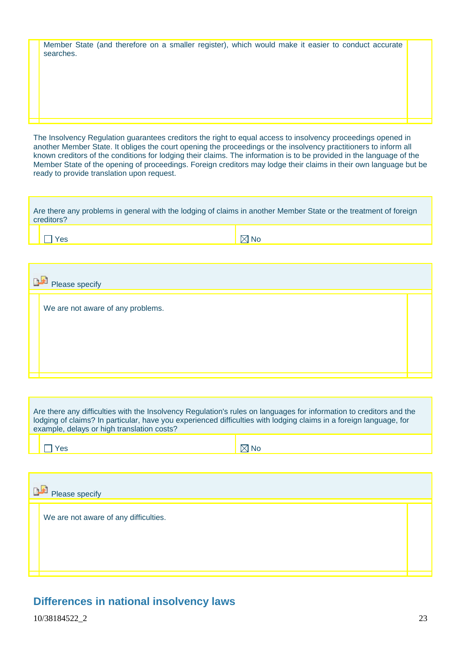| Member State (and therefore on a smaller register), which would make it easier to conduct accurate |  |  |  |  |  |  |  |
|----------------------------------------------------------------------------------------------------|--|--|--|--|--|--|--|
| searches.                                                                                          |  |  |  |  |  |  |  |

The Insolvency Regulation guarantees creditors the right to equal access to insolvency proceedings opened in another Member State. It obliges the court opening the proceedings or the insolvency practitioners to inform all known creditors of the conditions for lodging their claims. The information is to be provided in the language of the Member State of the opening of proceedings. Foreign creditors may lodge their claims in their own language but be ready to provide translation upon request.

| Are there any problems in general with the lodging of claims in another Member State or the treatment of foreign<br>creditors? |                |  |  |  |  |  |  |  |  |
|--------------------------------------------------------------------------------------------------------------------------------|----------------|--|--|--|--|--|--|--|--|
| res /                                                                                                                          | $\boxtimes$ No |  |  |  |  |  |  |  |  |
|                                                                                                                                |                |  |  |  |  |  |  |  |  |

| Please specify                    |  |  |  |  |  |
|-----------------------------------|--|--|--|--|--|
| We are not aware of any problems. |  |  |  |  |  |
|                                   |  |  |  |  |  |
|                                   |  |  |  |  |  |
|                                   |  |  |  |  |  |

Are there any difficulties with the Insolvency Regulation's rules on languages for information to creditors and the lodging of claims? In particular, have you experienced difficulties with lodging claims in a foreign language, for example, delays or high translation costs?

| Please specify                        |  |  |  |  |  |
|---------------------------------------|--|--|--|--|--|
| We are not aware of any difficulties. |  |  |  |  |  |
|                                       |  |  |  |  |  |

## **Differences in national insolvency laws**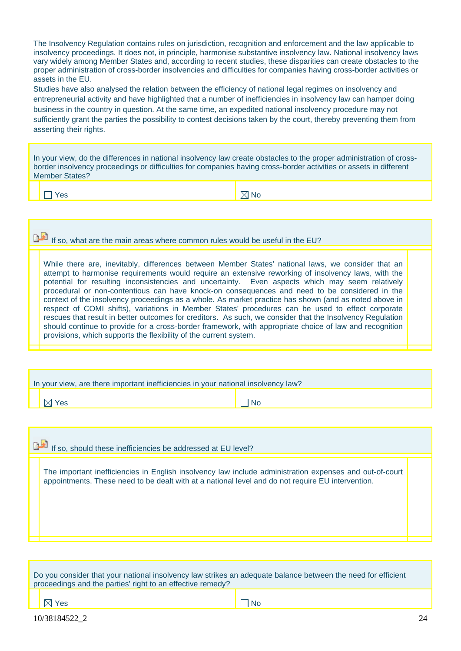The Insolvency Regulation contains rules on jurisdiction, recognition and enforcement and the law applicable to insolvency proceedings. It does not, in principle, harmonise substantive insolvency law. National insolvency laws vary widely among Member States and, according to recent studies, these disparities can create obstacles to the proper administration of cross-border insolvencies and difficulties for companies having cross-border activities or assets in the EU.

Studies have also analysed the relation between the efficiency of national legal regimes on insolvency and entrepreneurial activity and have highlighted that a number of inefficiencies in insolvency law can hamper doing business in the country in question. At the same time, an expedited national insolvency procedure may not sufficiently grant the parties the possibility to contest decisions taken by the court, thereby preventing them from asserting their rights.

In your view, do the differences in national insolvency law create obstacles to the proper administration of crossborder insolvency proceedings or difficulties for companies having cross-border activities or assets in different Member States?

Yes No. In the North South of North South of North South of North South of North South of No

If so, what are the main areas where common rules would be useful in the EU?

While there are, inevitably, differences between Member States' national laws, we consider that an attempt to harmonise requirements would require an extensive reworking of insolvency laws, with the potential for resulting inconsistencies and uncertainty. Even aspects which may seem relatively procedural or non-contentious can have knock-on consequences and need to be considered in the context of the insolvency proceedings as a whole. As market practice has shown (and as noted above in respect of COMI shifts), variations in Member States' procedures can be used to effect corporate rescues that result in better outcomes for creditors. As such, we consider that the Insolvency Regulation should continue to provide for a cross-border framework, with appropriate choice of law and recognition provisions, which supports the flexibility of the current system.

| In your view, are there important inefficiencies in your national insolvency law? |                   |     |  |  |
|-----------------------------------------------------------------------------------|-------------------|-----|--|--|
|                                                                                   | $\boxtimes$ l Yes | No. |  |  |
|                                                                                   |                   |     |  |  |

If so, should these inefficiencies be addressed at EU level?

The important inefficiencies in English insolvency law include administration expenses and out-of-court appointments. These need to be dealt with at a national level and do not require EU intervention.

| Do you consider that your national insolvency law strikes an adequate balance between the need for efficient<br>proceedings and the parties' right to an effective remedy? |      |  |  |
|----------------------------------------------------------------------------------------------------------------------------------------------------------------------------|------|--|--|
| $\boxtimes$ Yes                                                                                                                                                            | l No |  |  |
| 10/38184522 2                                                                                                                                                              | 24   |  |  |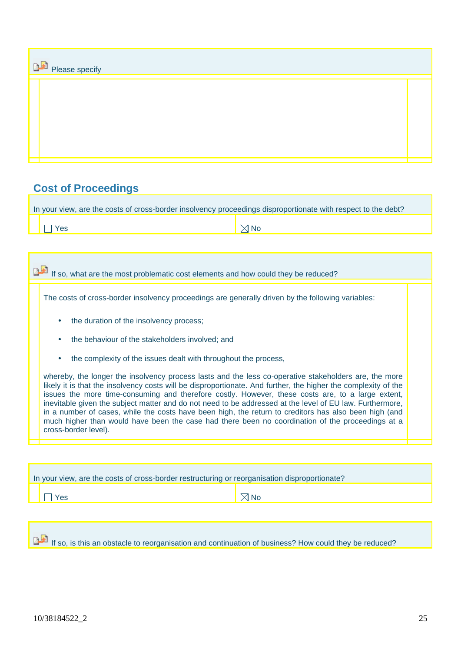| <b>DE</b> Please specify |  |  |  |
|--------------------------|--|--|--|
|                          |  |  |  |
|                          |  |  |  |

# **Cost of Proceedings**

| In your view, are the costs of cross-border insolvency proceedings disproportionate with respect to the debt? |                |  |  |
|---------------------------------------------------------------------------------------------------------------|----------------|--|--|
| $\vert$   $\vert$ Yes                                                                                         | $\boxtimes$ No |  |  |

# If so, what are the most problematic cost elements and how could they be reduced?

The costs of cross-border insolvency proceedings are generally driven by the following variables:

- the duration of the insolvency process:
- the behaviour of the stakeholders involved; and
- the complexity of the issues dealt with throughout the process,

whereby, the longer the insolvency process lasts and the less co-operative stakeholders are, the more likely it is that the insolvency costs will be disproportionate. And further, the higher the complexity of the issues the more time-consuming and therefore costly. However, these costs are, to a large extent, inevitable given the subject matter and do not need to be addressed at the level of EU law. Furthermore, in a number of cases, while the costs have been high, the return to creditors has also been high (and much higher than would have been the case had there been no coordination of the proceedings at a cross-border level).

| In your view, are the costs of cross-border restructuring or reorganisation disproportionate? |                |  |  |  |  |
|-----------------------------------------------------------------------------------------------|----------------|--|--|--|--|
| 'es                                                                                           | $\boxtimes$ No |  |  |  |  |
|                                                                                               |                |  |  |  |  |

If so, is this an obstacle to reorganisation and continuation of business? How could they be reduced?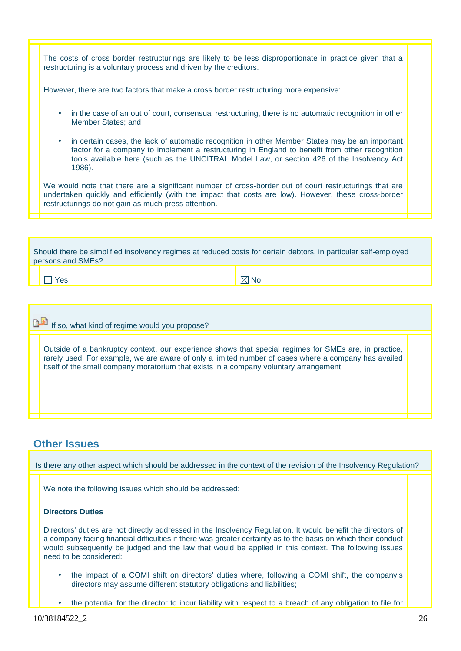The costs of cross border restructurings are likely to be less disproportionate in practice given that a restructuring is a voluntary process and driven by the creditors.

However, there are two factors that make a cross border restructuring more expensive:

- in the case of an out of court, consensual restructuring, there is no automatic recognition in other Member States; and
- in certain cases, the lack of automatic recognition in other Member States may be an important factor for a company to implement a restructuring in England to benefit from other recognition tools available here (such as the UNCITRAL Model Law, or section 426 of the Insolvency Act 1986).

We would note that there are a significant number of cross-border out of court restructurings that are undertaken quickly and efficiently (with the impact that costs are low). However, these cross-border restructurings do not gain as much press attention.

| Should there be simplified insolvency regimes at reduced costs for certain debtors, in particular self-employed<br>persons and SMEs? |
|--------------------------------------------------------------------------------------------------------------------------------------|
|                                                                                                                                      |

Yes No. In the North South of the North South of the North South of the North South of the North South of the N

## If so, what kind of regime would you propose?

Outside of a bankruptcy context, our experience shows that special regimes for SMEs are, in practice, rarely used. For example, we are aware of only a limited number of cases where a company has availed itself of the small company moratorium that exists in a company voluntary arrangement.

## **Other Issues**

Is there any other aspect which should be addressed in the context of the revision of the Insolvency Regulation?

We note the following issues which should be addressed:

### **Directors Duties**

Directors' duties are not directly addressed in the Insolvency Regulation. It would benefit the directors of a company facing financial difficulties if there was greater certainty as to the basis on which their conduct would subsequently be judged and the law that would be applied in this context. The following issues need to be considered:

- the impact of a COMI shift on directors' duties where, following a COMI shift, the company's directors may assume different statutory obligations and liabilities;
- the potential for the director to incur liability with respect to a breach of any obligation to file for